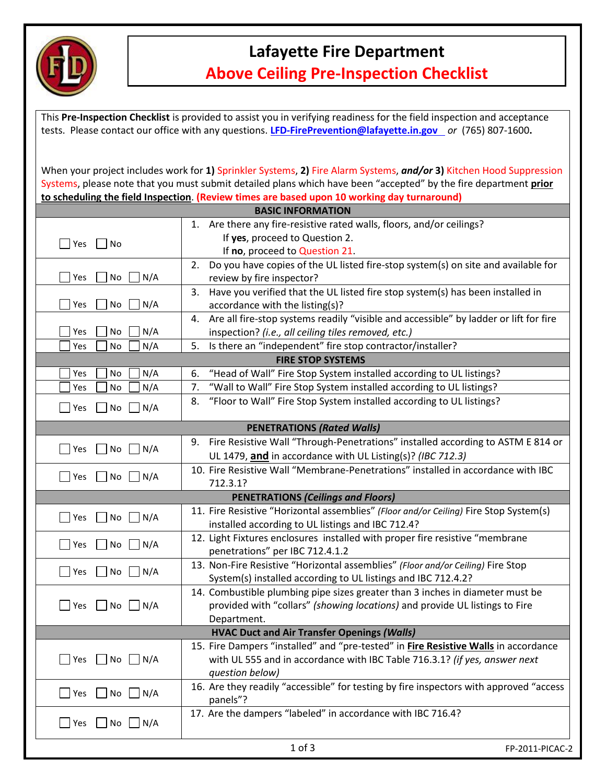

## **Lafayette Fire Department Above Ceiling Pre-Inspection Checklist**

This **Pre-Inspection Checklist** is provided to assist you in verifying readiness for the field inspection and acceptance tests. Please contact our office with any questions. **LFD‐FirePrevention@lafayette.in.gov** *or* (765) 807‐1600**.**

When your project includes work for **1)** Sprinkler Systems, **2)** Fire Alarm Systems, *and/or* **3)** Kitchen Hood Suppression Systems, please note that you must submit detailed plans which have been "accepted" by the fire department **prior to scheduling the field Inspection**. **(Review times are based upon 10 working day turnaround)**

|                                                    | <b>BASIC INFORMATION</b>                                                                    |                 |  |  |
|----------------------------------------------------|---------------------------------------------------------------------------------------------|-----------------|--|--|
|                                                    | 1. Are there any fire-resistive rated walls, floors, and/or ceilings?                       |                 |  |  |
| $\Box$ Yes $\Box$<br>No                            | If yes, proceed to Question 2.                                                              |                 |  |  |
|                                                    | If no, proceed to Question 21.                                                              |                 |  |  |
|                                                    | Do you have copies of the UL listed fire-stop system(s) on site and available for<br>2.     |                 |  |  |
| Yes<br>No<br>N/A                                   | review by fire inspector?                                                                   |                 |  |  |
|                                                    | Have you verified that the UL listed fire stop system(s) has been installed in<br>3.        |                 |  |  |
| N/A<br>Yes<br>No                                   | accordance with the listing(s)?                                                             |                 |  |  |
|                                                    | Are all fire-stop systems readily "visible and accessible" by ladder or lift for fire<br>4. |                 |  |  |
| N/A<br>Yes<br>No                                   | inspection? (i.e., all ceiling tiles removed, etc.)                                         |                 |  |  |
| N/A<br>Yes<br>No                                   | Is there an "independent" fire stop contractor/installer?<br>5.                             |                 |  |  |
| <b>FIRE STOP SYSTEMS</b>                           |                                                                                             |                 |  |  |
| N/A<br>Yes<br>No                                   | "Head of Wall" Fire Stop System installed according to UL listings?<br>6.                   |                 |  |  |
| N/A<br>No<br>Yes                                   | "Wall to Wall" Fire Stop System installed according to UL listings?<br>7.                   |                 |  |  |
|                                                    | "Floor to Wall" Fire Stop System installed according to UL listings?<br>8.                  |                 |  |  |
| N/A<br>Yes<br>No                                   |                                                                                             |                 |  |  |
| <b>PENETRATIONS (Rated Walls)</b>                  |                                                                                             |                 |  |  |
| Yes<br>No<br>N/A                                   | 9. Fire Resistive Wall "Through-Penetrations" installed according to ASTM E 814 or          |                 |  |  |
|                                                    | UL 1479, and in accordance with UL Listing(s)? (IBC 712.3)                                  |                 |  |  |
|                                                    | 10. Fire Resistive Wall "Membrane-Penetrations" installed in accordance with IBC            |                 |  |  |
| $\Box$ Yes<br>No<br>N/A                            | 712.3.1?                                                                                    |                 |  |  |
| <b>PENETRATIONS (Ceilings and Floors)</b>          |                                                                                             |                 |  |  |
| Yes                                                | 11. Fire Resistive "Horizontal assemblies" (Floor and/or Ceiling) Fire Stop System(s)       |                 |  |  |
| No<br>N/A                                          | installed according to UL listings and IBC 712.4?                                           |                 |  |  |
| $\blacksquare$ Yes<br>No<br>N/A                    | 12. Light Fixtures enclosures installed with proper fire resistive "membrane                |                 |  |  |
|                                                    | penetrations" per IBC 712.4.1.2                                                             |                 |  |  |
| $\Box$ Yes<br>No<br>$\Box$ N/A                     | 13. Non-Fire Resistive "Horizontal assemblies" (Floor and/or Ceiling) Fire Stop             |                 |  |  |
|                                                    | System(s) installed according to UL listings and IBC 712.4.2?                               |                 |  |  |
|                                                    | 14. Combustible plumbing pipe sizes greater than 3 inches in diameter must be               |                 |  |  |
|                                                    | provided with "collars" (showing locations) and provide UL listings to Fire                 |                 |  |  |
|                                                    | Department.                                                                                 |                 |  |  |
|                                                    | <b>HVAC Duct and Air Transfer Openings (Walls)</b>                                          |                 |  |  |
|                                                    | 15. Fire Dampers "installed" and "pre-tested" in Fire Resistive Walls in accordance         |                 |  |  |
| $No$ $N/A$<br>Yes                                  | with UL 555 and in accordance with IBC Table 716.3.1? (if yes, answer next                  |                 |  |  |
|                                                    | question below)                                                                             |                 |  |  |
| $\blacksquare$ Yes $\blacksquare$ No<br>$\Box$ N/A | 16. Are they readily "accessible" for testing by fire inspectors with approved "access      |                 |  |  |
|                                                    | panels"?                                                                                    |                 |  |  |
|                                                    | 17. Are the dampers "labeled" in accordance with IBC 716.4?                                 |                 |  |  |
| Yes<br>No<br>$\Box$ N/A                            |                                                                                             |                 |  |  |
|                                                    | $1$ of $3$                                                                                  | FP-2011-PICAC-2 |  |  |
|                                                    |                                                                                             |                 |  |  |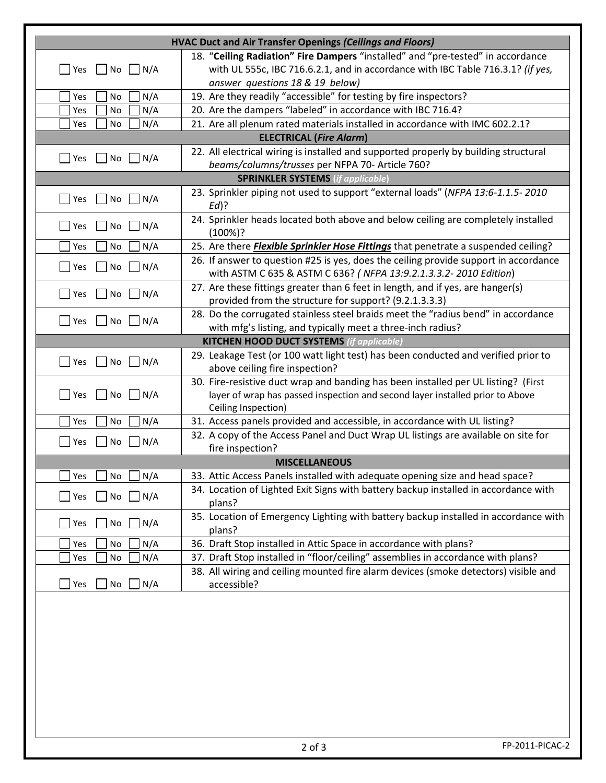| <b>HVAC Duct and Air Transfer Openings (Ceilings and Floors)</b>                |                                                                                           |  |  |  |
|---------------------------------------------------------------------------------|-------------------------------------------------------------------------------------------|--|--|--|
| 18. "Ceiling Radiation" Fire Dampers "installed" and "pre-tested" in accordance |                                                                                           |  |  |  |
| $No$   $N/A$<br>Yes                                                             | with UL 555c, IBC 716.6.2.1, and in accordance with IBC Table 716.3.1? (if yes,           |  |  |  |
|                                                                                 | answer questions 18 & 19 below)                                                           |  |  |  |
| N/A<br>Yes<br>No                                                                | 19. Are they readily "accessible" for testing by fire inspectors?                         |  |  |  |
| N/A<br>Yes<br>No                                                                | 20. Are the dampers "labeled" in accordance with IBC 716.4?                               |  |  |  |
| N/A<br>No<br>Yes                                                                | 21. Are all plenum rated materials installed in accordance with IMC 602.2.1?              |  |  |  |
| <b>ELECTRICAL (Fire Alarm)</b>                                                  |                                                                                           |  |  |  |
|                                                                                 | 22. All electrical wiring is installed and supported properly by building structural      |  |  |  |
| $No$   $N/A$<br>Yes                                                             | beams/columns/trusses per NFPA 70- Article 760?                                           |  |  |  |
| <b>SPRINKLER SYSTEMS</b> (if applicable)                                        |                                                                                           |  |  |  |
|                                                                                 | 23. Sprinkler piping not used to support "external loads" (NFPA 13:6-1.1.5-2010           |  |  |  |
| N/A<br>No l<br>Yes                                                              | $Ed$ ?                                                                                    |  |  |  |
|                                                                                 | 24. Sprinkler heads located both above and below ceiling are completely installed         |  |  |  |
| N/A<br>Yes<br>No                                                                | (100%)?                                                                                   |  |  |  |
| N/A<br>No<br>Yes                                                                | 25. Are there <i>Flexible Sprinkler Hose Fittings</i> that penetrate a suspended ceiling? |  |  |  |
|                                                                                 | 26. If answer to question #25 is yes, does the ceiling provide support in accordance      |  |  |  |
| N/A<br>No<br>Yes                                                                | with ASTM C 635 & ASTM C 636? ( NFPA 13:9.2.1.3.3.2-2010 Edition)                         |  |  |  |
|                                                                                 | 27. Are these fittings greater than 6 feet in length, and if yes, are hanger(s)           |  |  |  |
| N/A<br>No    <br>Yes                                                            | provided from the structure for support? (9.2.1.3.3.3)                                    |  |  |  |
|                                                                                 | 28. Do the corrugated stainless steel braids meet the "radius bend" in accordance         |  |  |  |
| N/A<br>$\blacksquare$ Yes<br>No<br>$\mathbf{1}$                                 | with mfg's listing, and typically meet a three-inch radius?                               |  |  |  |
| <b>KITCHEN HOOD DUCT SYSTEMS (if applicable)</b>                                |                                                                                           |  |  |  |
|                                                                                 | 29. Leakage Test (or 100 watt light test) has been conducted and verified prior to        |  |  |  |
| Yes<br>No<br>N/A                                                                | above ceiling fire inspection?                                                            |  |  |  |
|                                                                                 | 30. Fire-resistive duct wrap and banding has been installed per UL listing? (First        |  |  |  |
| Yes<br>N/A<br>No.                                                               | layer of wrap has passed inspection and second layer installed prior to Above             |  |  |  |
|                                                                                 | Ceiling Inspection)                                                                       |  |  |  |
| N/A<br>Yes<br>No.                                                               | 31. Access panels provided and accessible, in accordance with UL listing?                 |  |  |  |
|                                                                                 | 32. A copy of the Access Panel and Duct Wrap UL listings are available on site for        |  |  |  |
| N/A<br>Yes<br>No<br>fire inspection?                                            |                                                                                           |  |  |  |
| <b>MISCELLANEOUS</b>                                                            |                                                                                           |  |  |  |
| N/A<br>No<br>Yes                                                                | 33. Attic Access Panels installed with adequate opening size and head space?              |  |  |  |
|                                                                                 | 34. Location of Lighted Exit Signs with battery backup installed in accordance with       |  |  |  |
| N/A<br>Yes<br>No                                                                | plans?                                                                                    |  |  |  |
|                                                                                 | 35. Location of Emergency Lighting with battery backup installed in accordance with       |  |  |  |
| N/A<br>Yes<br>No                                                                | plans?                                                                                    |  |  |  |
| N/A<br>Yes<br>No                                                                | 36. Draft Stop installed in Attic Space in accordance with plans?                         |  |  |  |
| N/A<br>No<br>Yes                                                                | 37. Draft Stop installed in "floor/ceiling" assemblies in accordance with plans?          |  |  |  |
|                                                                                 | 38. All wiring and ceiling mounted fire alarm devices (smoke detectors) visible and       |  |  |  |
| N/A<br>Yes<br>No                                                                | accessible?                                                                               |  |  |  |
|                                                                                 |                                                                                           |  |  |  |
|                                                                                 |                                                                                           |  |  |  |
|                                                                                 |                                                                                           |  |  |  |
|                                                                                 |                                                                                           |  |  |  |
|                                                                                 |                                                                                           |  |  |  |
|                                                                                 |                                                                                           |  |  |  |
|                                                                                 |                                                                                           |  |  |  |